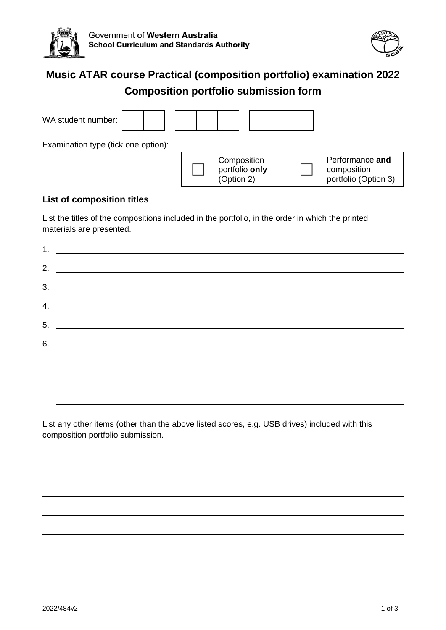



# **Music ATAR course Practical (composition portfolio) examination 2022 Composition portfolio submission form**

| WA student number:                  |                                             |                                                        |
|-------------------------------------|---------------------------------------------|--------------------------------------------------------|
| Examination type (tick one option): |                                             |                                                        |
|                                     | Composition<br>portfolio only<br>(Option 2) | Performance and<br>composition<br>portfolio (Option 3) |

#### **List of composition titles**

List the titles of the compositions included in the portfolio, in the order in which the printed materials are presented.

| 2. $\overline{\phantom{a}}$   |
|-------------------------------|
| $3.$ $\overline{\phantom{a}}$ |
| 4. $\overline{\phantom{a}}$   |
|                               |
|                               |
| $6.$ $\overline{\phantom{a}}$ |
|                               |
|                               |
|                               |

List any other items (other than the above listed scores, e.g. USB drives) included with this composition portfolio submission.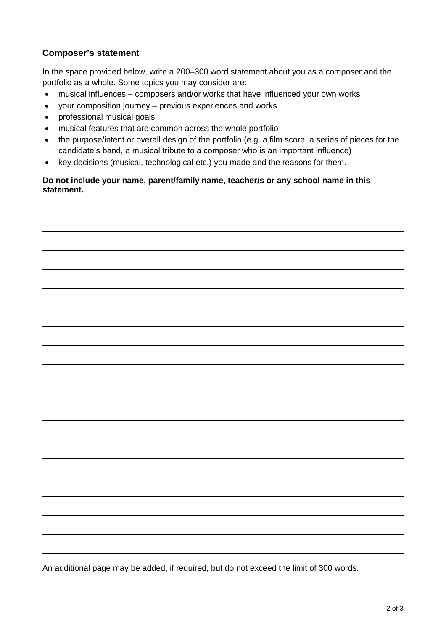## **Composer's statement**

In the space provided below, write a 200–300 word statement about you as a composer and the portfolio as a whole. Some topics you may consider are:

- musical influences composers and/or works that have influenced your own works
- your composition journey previous experiences and works
- professional musical goals
- musical features that are common across the whole portfolio
- the purpose/intent or overall design of the portfolio (e.g. a film score, a series of pieces for the candidate's band, a musical tribute to a composer who is an important influence)
- key decisions (musical, technological etc.) you made and the reasons for them.

**Do not include your name, parent/family name, teacher/s or any school name in this statement.** 

An additional page may be added, if required, but do not exceed the limit of 300 words.